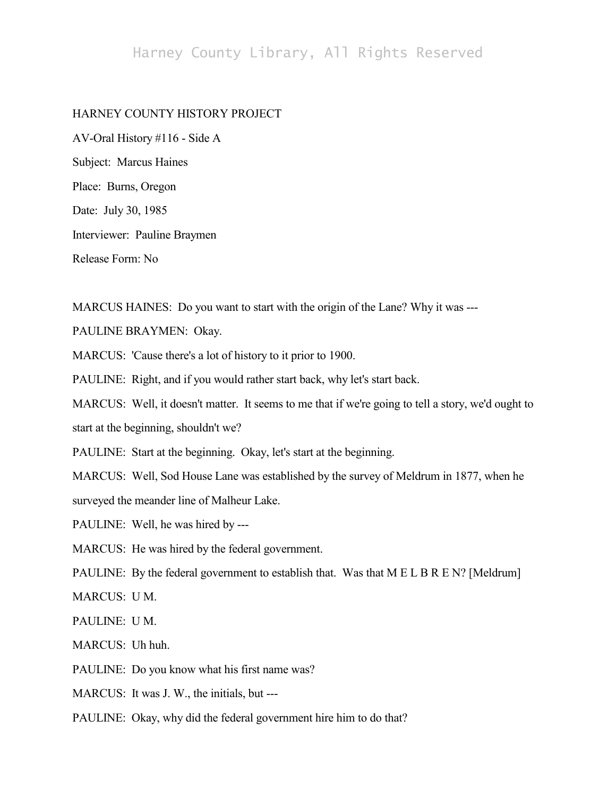## Harney County Library, All Rights Reserved

## HARNEY COUNTY HISTORY PROJECT

AV-Oral History #116 - Side A Subject: Marcus Haines Place: Burns, Oregon Date: July 30, 1985 Interviewer: Pauline Braymen Release Form: No

MARCUS HAINES: Do you want to start with the origin of the Lane? Why it was ---

PAULINE BRAYMEN: Okay.

MARCUS: 'Cause there's a lot of history to it prior to 1900.

PAULINE: Right, and if you would rather start back, why let's start back.

MARCUS: Well, it doesn't matter. It seems to me that if we're going to tell a story, we'd ought to start at the beginning, shouldn't we?

PAULINE: Start at the beginning. Okay, let's start at the beginning.

MARCUS: Well, Sod House Lane was established by the survey of Meldrum in 1877, when he

surveyed the meander line of Malheur Lake.

PAULINE: Well, he was hired by ---

MARCUS: He was hired by the federal government.

PAULINE: By the federal government to establish that. Was that M E L B R E N? [Meldrum]

MARCUS: U M.

PAULINE: U M.

MARCUS: Uh huh.

PAULINE: Do you know what his first name was?

MARCUS: It was J. W., the initials, but ---

PAULINE: Okay, why did the federal government hire him to do that?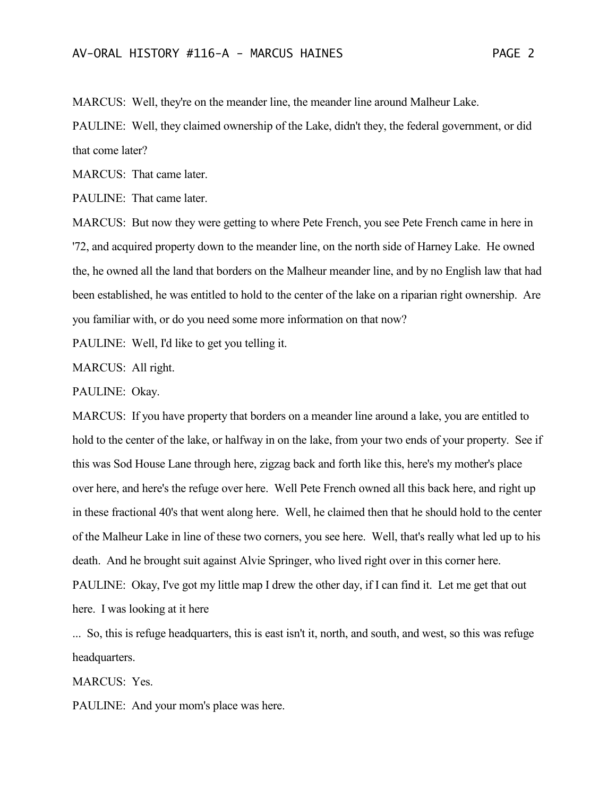MARCUS: Well, they're on the meander line, the meander line around Malheur Lake.

PAULINE: Well, they claimed ownership of the Lake, didn't they, the federal government, or did that come later?

MARCUS: That came later.

PAULINE: That came later.

MARCUS: But now they were getting to where Pete French, you see Pete French came in here in '72, and acquired property down to the meander line, on the north side of Harney Lake. He owned the, he owned all the land that borders on the Malheur meander line, and by no English law that had been established, he was entitled to hold to the center of the lake on a riparian right ownership. Are you familiar with, or do you need some more information on that now?

PAULINE: Well, I'd like to get you telling it.

MARCUS: All right.

PAULINE: Okay.

MARCUS: If you have property that borders on a meander line around a lake, you are entitled to hold to the center of the lake, or halfway in on the lake, from your two ends of your property. See if this was Sod House Lane through here, zigzag back and forth like this, here's my mother's place over here, and here's the refuge over here. Well Pete French owned all this back here, and right up in these fractional 40's that went along here. Well, he claimed then that he should hold to the center of the Malheur Lake in line of these two corners, you see here. Well, that's really what led up to his death. And he brought suit against Alvie Springer, who lived right over in this corner here. PAULINE: Okay, I've got my little map I drew the other day, if I can find it. Let me get that out here. I was looking at it here

... So, this is refuge headquarters, this is east isn't it, north, and south, and west, so this was refuge headquarters.

MARCUS: Yes.

PAULINE: And your mom's place was here.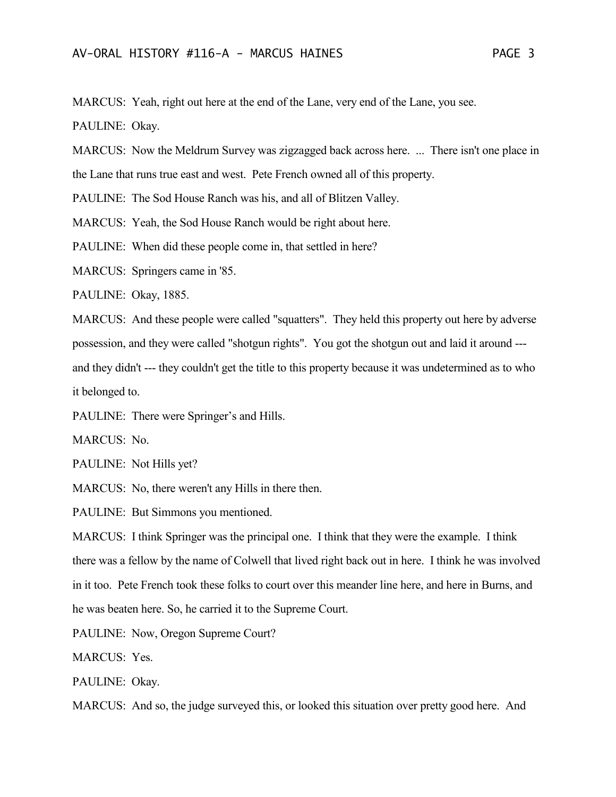MARCUS: Yeah, right out here at the end of the Lane, very end of the Lane, you see.

PAULINE: Okay.

MARCUS: Now the Meldrum Survey was zigzagged back across here. ... There isn't one place in the Lane that runs true east and west. Pete French owned all of this property.

PAULINE: The Sod House Ranch was his, and all of Blitzen Valley.

MARCUS: Yeah, the Sod House Ranch would be right about here.

PAULINE: When did these people come in, that settled in here?

MARCUS: Springers came in '85.

PAULINE: Okay, 1885.

MARCUS: And these people were called "squatters". They held this property out here by adverse possession, and they were called "shotgun rights". You got the shotgun out and laid it around -- and they didn't --- they couldn't get the title to this property because it was undetermined as to who it belonged to.

PAULINE: There were Springer's and Hills.

MARCUS: No.

PAULINE: Not Hills yet?

MARCUS: No, there weren't any Hills in there then.

PAULINE: But Simmons you mentioned.

MARCUS: I think Springer was the principal one. I think that they were the example. I think there was a fellow by the name of Colwell that lived right back out in here. I think he was involved in it too. Pete French took these folks to court over this meander line here, and here in Burns, and he was beaten here. So, he carried it to the Supreme Court.

PAULINE: Now, Oregon Supreme Court?

MARCUS: Yes.

PAULINE: Okay.

MARCUS: And so, the judge surveyed this, or looked this situation over pretty good here. And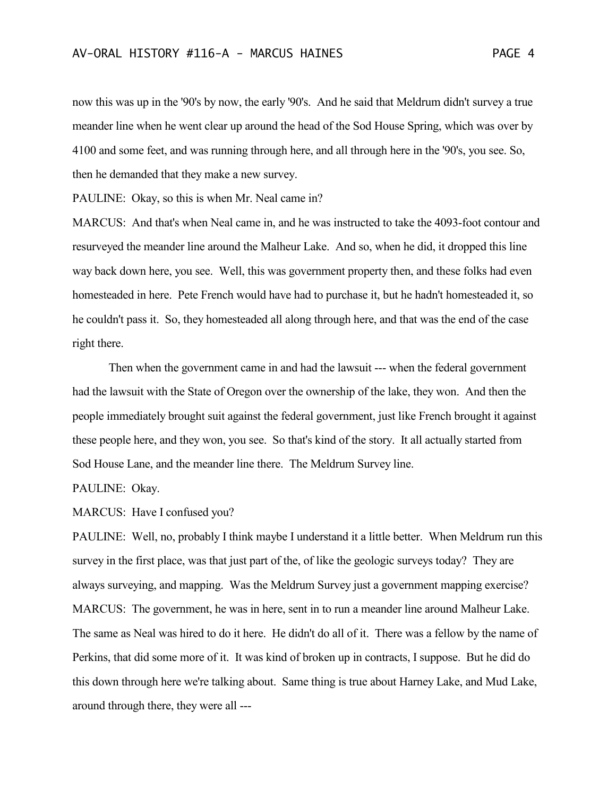now this was up in the '90's by now, the early '90's. And he said that Meldrum didn't survey a true meander line when he went clear up around the head of the Sod House Spring, which was over by 4100 and some feet, and was running through here, and all through here in the '90's, you see. So, then he demanded that they make a new survey.

PAULINE: Okay, so this is when Mr. Neal came in?

MARCUS: And that's when Neal came in, and he was instructed to take the 4093-foot contour and resurveyed the meander line around the Malheur Lake. And so, when he did, it dropped this line way back down here, you see. Well, this was government property then, and these folks had even homesteaded in here. Pete French would have had to purchase it, but he hadn't homesteaded it, so he couldn't pass it. So, they homesteaded all along through here, and that was the end of the case right there.

Then when the government came in and had the lawsuit --- when the federal government had the lawsuit with the State of Oregon over the ownership of the lake, they won. And then the people immediately brought suit against the federal government, just like French brought it against these people here, and they won, you see. So that's kind of the story. It all actually started from Sod House Lane, and the meander line there. The Meldrum Survey line.

PAULINE: Okay.

MARCUS: Have I confused you?

PAULINE: Well, no, probably I think maybe I understand it a little better. When Meldrum run this survey in the first place, was that just part of the, of like the geologic surveys today? They are always surveying, and mapping. Was the Meldrum Survey just a government mapping exercise? MARCUS: The government, he was in here, sent in to run a meander line around Malheur Lake. The same as Neal was hired to do it here. He didn't do all of it. There was a fellow by the name of Perkins, that did some more of it. It was kind of broken up in contracts, I suppose. But he did do this down through here we're talking about. Same thing is true about Harney Lake, and Mud Lake, around through there, they were all ---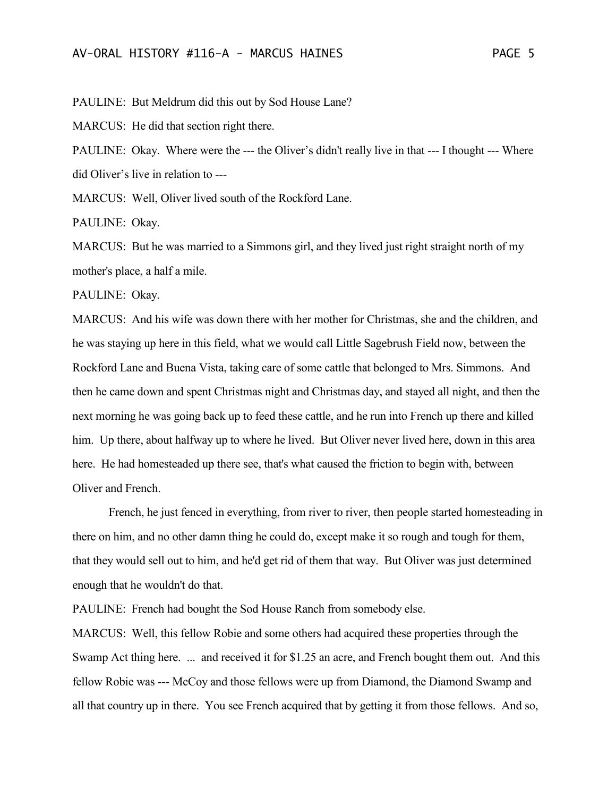PAULINE: But Meldrum did this out by Sod House Lane?

MARCUS: He did that section right there.

PAULINE: Okay. Where were the --- the Oliver's didn't really live in that --- I thought --- Where did Oliver's live in relation to ---

MARCUS: Well, Oliver lived south of the Rockford Lane.

PAULINE: Okay.

MARCUS: But he was married to a Simmons girl, and they lived just right straight north of my mother's place, a half a mile.

PAULINE: Okay.

MARCUS: And his wife was down there with her mother for Christmas, she and the children, and he was staying up here in this field, what we would call Little Sagebrush Field now, between the Rockford Lane and Buena Vista, taking care of some cattle that belonged to Mrs. Simmons. And then he came down and spent Christmas night and Christmas day, and stayed all night, and then the next morning he was going back up to feed these cattle, and he run into French up there and killed him. Up there, about halfway up to where he lived. But Oliver never lived here, down in this area here. He had homesteaded up there see, that's what caused the friction to begin with, between Oliver and French.

French, he just fenced in everything, from river to river, then people started homesteading in there on him, and no other damn thing he could do, except make it so rough and tough for them, that they would sell out to him, and he'd get rid of them that way. But Oliver was just determined enough that he wouldn't do that.

PAULINE: French had bought the Sod House Ranch from somebody else.

MARCUS: Well, this fellow Robie and some others had acquired these properties through the Swamp Act thing here. ... and received it for \$1.25 an acre, and French bought them out. And this fellow Robie was --- McCoy and those fellows were up from Diamond, the Diamond Swamp and all that country up in there. You see French acquired that by getting it from those fellows. And so,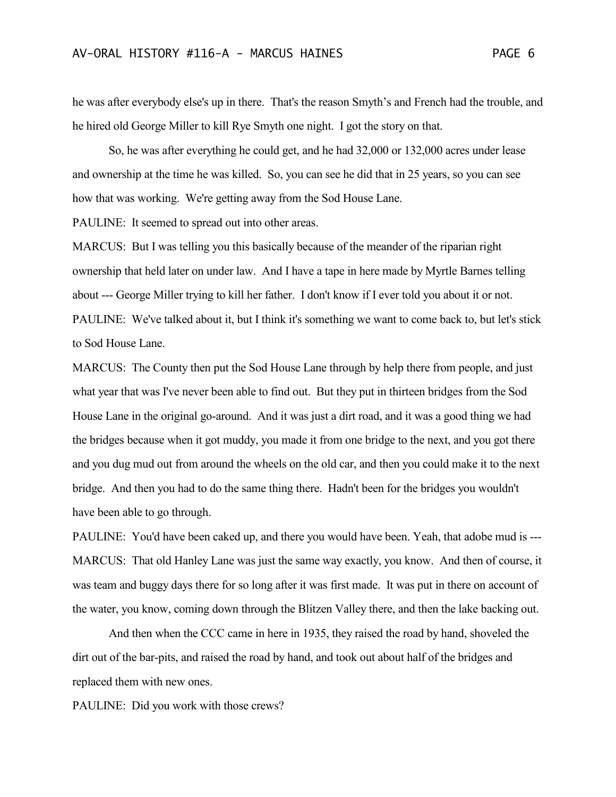he was after everybody else's up in there. That's the reason Smyth's and French had the trouble, and he hired old George Miller to kill Rye Smyth one night. I got the story on that.

So, he was after everything he could get, and he had 32,000 or 132,000 acres under lease and ownership at the time he was killed. So, you can see he did that in 25 years, so you can see how that was working. We're getting away from the Sod House Lane.

PAULINE: It seemed to spread out into other areas.

MARCUS: But I was telling you this basically because of the meander of the riparian right ownership that held later on under law. And I have a tape in here made by Myrtle Barnes telling about --- George Miller trying to kill her father. I don't know if I ever told you about it or not. PAULINE: We've talked about it, but I think it's something we want to come back to, but let's stick to Sod House Lane.

MARCUS: The County then put the Sod House Lane through by help there from people, and just what year that was I've never been able to find out. But they put in thirteen bridges from the Sod House Lane in the original go-around. And it was just a dirt road, and it was a good thing we had the bridges because when it got muddy, you made it from one bridge to the next, and you got there and you dug mud out from around the wheels on the old car, and then you could make it to the next bridge. And then you had to do the same thing there. Hadn't been for the bridges you wouldn't have been able to go through.

PAULINE: You'd have been caked up, and there you would have been. Yeah, that adobe mud is --- MARCUS: That old Hanley Lane was just the same way exactly, you know. And then of course, it was team and buggy days there for so long after it was first made. It was put in there on account of the water, you know, coming down through the Blitzen Valley there, and then the lake backing out.

And then when the CCC came in here in 1935, they raised the road by hand, shoveled the dirt out of the bar-pits, and raised the road by hand, and took out about half of the bridges and replaced them with new ones.

PAULINE: Did you work with those crews?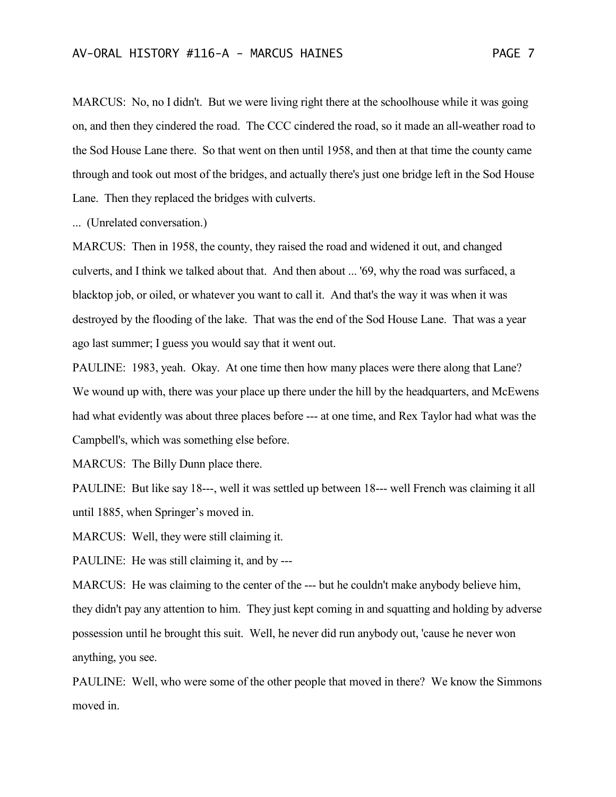MARCUS: No, no I didn't. But we were living right there at the schoolhouse while it was going on, and then they cindered the road. The CCC cindered the road, so it made an all-weather road to the Sod House Lane there. So that went on then until 1958, and then at that time the county came through and took out most of the bridges, and actually there's just one bridge left in the Sod House Lane. Then they replaced the bridges with culverts.

... (Unrelated conversation.)

MARCUS: Then in 1958, the county, they raised the road and widened it out, and changed culverts, and I think we talked about that. And then about ... '69, why the road was surfaced, a blacktop job, or oiled, or whatever you want to call it. And that's the way it was when it was destroyed by the flooding of the lake. That was the end of the Sod House Lane. That was a year ago last summer; I guess you would say that it went out.

PAULINE: 1983, yeah. Okay. At one time then how many places were there along that Lane? We wound up with, there was your place up there under the hill by the headquarters, and McEwens had what evidently was about three places before --- at one time, and Rex Taylor had what was the Campbell's, which was something else before.

MARCUS: The Billy Dunn place there.

PAULINE: But like say 18---, well it was settled up between 18--- well French was claiming it all until 1885, when Springer's moved in.

MARCUS: Well, they were still claiming it.

PAULINE: He was still claiming it, and by ---

MARCUS: He was claiming to the center of the --- but he couldn't make anybody believe him, they didn't pay any attention to him. They just kept coming in and squatting and holding by adverse possession until he brought this suit. Well, he never did run anybody out, 'cause he never won anything, you see.

PAULINE: Well, who were some of the other people that moved in there? We know the Simmons moved in.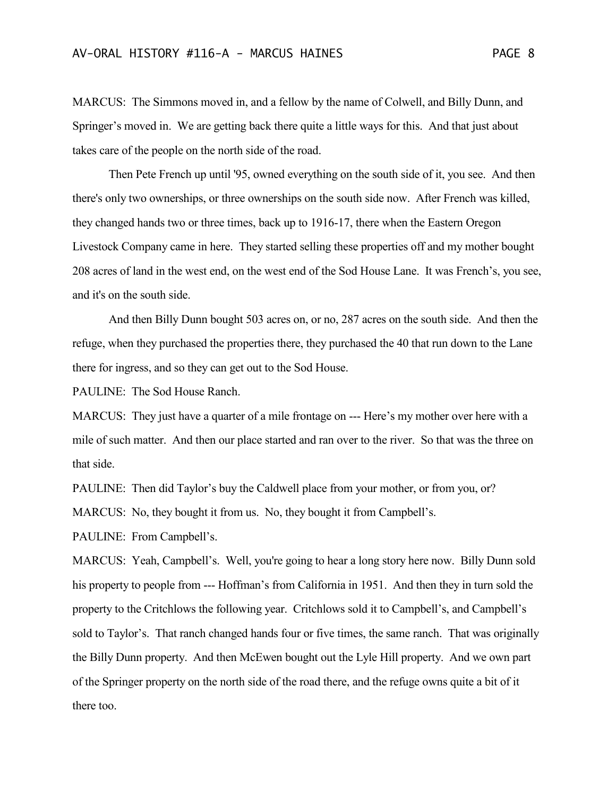MARCUS: The Simmons moved in, and a fellow by the name of Colwell, and Billy Dunn, and Springer's moved in. We are getting back there quite a little ways for this. And that just about takes care of the people on the north side of the road.

Then Pete French up until '95, owned everything on the south side of it, you see. And then there's only two ownerships, or three ownerships on the south side now. After French was killed, they changed hands two or three times, back up to 1916-17, there when the Eastern Oregon Livestock Company came in here. They started selling these properties off and my mother bought 208 acres of land in the west end, on the west end of the Sod House Lane. It was French's, you see, and it's on the south side.

And then Billy Dunn bought 503 acres on, or no, 287 acres on the south side. And then the refuge, when they purchased the properties there, they purchased the 40 that run down to the Lane there for ingress, and so they can get out to the Sod House.

PAULINE: The Sod House Ranch.

MARCUS: They just have a quarter of a mile frontage on --- Here's my mother over here with a mile of such matter. And then our place started and ran over to the river. So that was the three on that side.

PAULINE: Then did Taylor's buy the Caldwell place from your mother, or from you, or?

MARCUS: No, they bought it from us. No, they bought it from Campbell's.

PAULINE: From Campbell's.

MARCUS: Yeah, Campbell's. Well, you're going to hear a long story here now. Billy Dunn sold his property to people from --- Hoffman's from California in 1951. And then they in turn sold the property to the Critchlows the following year. Critchlows sold it to Campbell's, and Campbell's sold to Taylor's. That ranch changed hands four or five times, the same ranch. That was originally the Billy Dunn property. And then McEwen bought out the Lyle Hill property. And we own part of the Springer property on the north side of the road there, and the refuge owns quite a bit of it there too.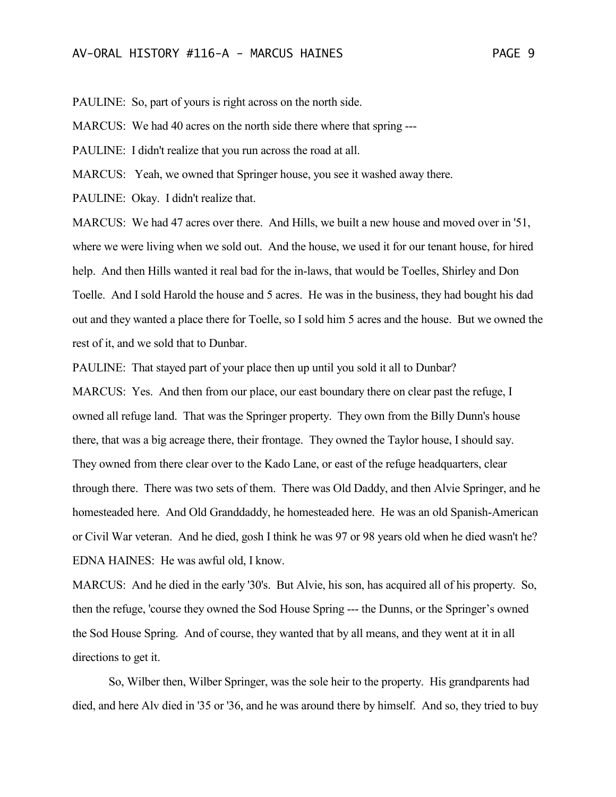PAULINE: So, part of yours is right across on the north side.

MARCUS: We had 40 acres on the north side there where that spring ---

PAULINE: I didn't realize that you run across the road at all.

MARCUS: Yeah, we owned that Springer house, you see it washed away there.

PAULINE: Okay. I didn't realize that.

MARCUS: We had 47 acres over there. And Hills, we built a new house and moved over in '51, where we were living when we sold out. And the house, we used it for our tenant house, for hired help. And then Hills wanted it real bad for the in-laws, that would be Toelles, Shirley and Don Toelle. And I sold Harold the house and 5 acres. He was in the business, they had bought his dad out and they wanted a place there for Toelle, so I sold him 5 acres and the house. But we owned the rest of it, and we sold that to Dunbar.

PAULINE: That stayed part of your place then up until you sold it all to Dunbar?

MARCUS: Yes. And then from our place, our east boundary there on clear past the refuge, I owned all refuge land. That was the Springer property. They own from the Billy Dunn's house there, that was a big acreage there, their frontage. They owned the Taylor house, I should say. They owned from there clear over to the Kado Lane, or east of the refuge headquarters, clear through there. There was two sets of them. There was Old Daddy, and then Alvie Springer, and he homesteaded here. And Old Granddaddy, he homesteaded here. He was an old Spanish-American or Civil War veteran. And he died, gosh I think he was 97 or 98 years old when he died wasn't he? EDNA HAINES: He was awful old, I know.

MARCUS: And he died in the early '30's. But Alvie, his son, has acquired all of his property. So, then the refuge, 'course they owned the Sod House Spring --- the Dunns, or the Springer's owned the Sod House Spring. And of course, they wanted that by all means, and they went at it in all directions to get it.

So, Wilber then, Wilber Springer, was the sole heir to the property. His grandparents had died, and here Alv died in '35 or '36, and he was around there by himself. And so, they tried to buy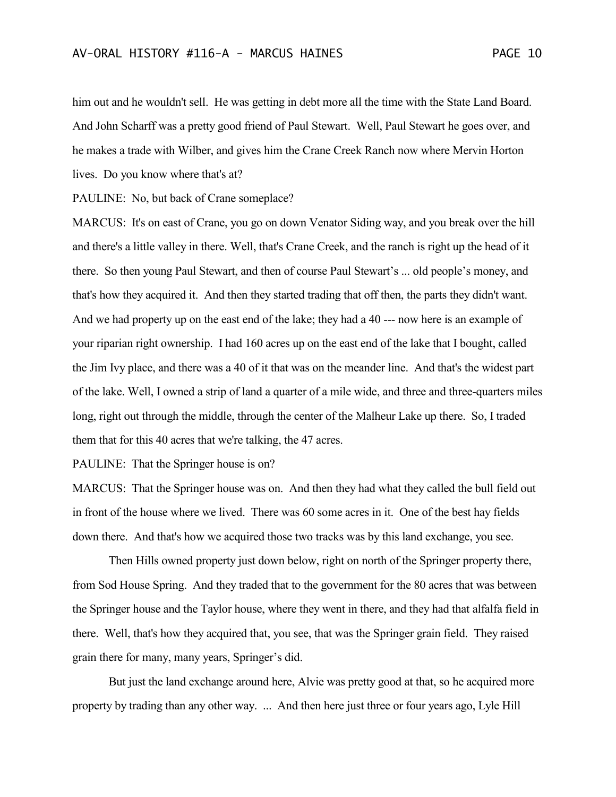him out and he wouldn't sell. He was getting in debt more all the time with the State Land Board. And John Scharff was a pretty good friend of Paul Stewart. Well, Paul Stewart he goes over, and he makes a trade with Wilber, and gives him the Crane Creek Ranch now where Mervin Horton lives. Do you know where that's at?

PAULINE: No, but back of Crane someplace?

MARCUS: It's on east of Crane, you go on down Venator Siding way, and you break over the hill and there's a little valley in there. Well, that's Crane Creek, and the ranch is right up the head of it there. So then young Paul Stewart, and then of course Paul Stewart's ... old people's money, and that's how they acquired it. And then they started trading that off then, the parts they didn't want. And we had property up on the east end of the lake; they had a 40 --- now here is an example of your riparian right ownership. I had 160 acres up on the east end of the lake that I bought, called the Jim Ivy place, and there was a 40 of it that was on the meander line. And that's the widest part of the lake. Well, I owned a strip of land a quarter of a mile wide, and three and three-quarters miles long, right out through the middle, through the center of the Malheur Lake up there. So, I traded them that for this 40 acres that we're talking, the 47 acres.

PAULINE: That the Springer house is on?

MARCUS: That the Springer house was on. And then they had what they called the bull field out in front of the house where we lived. There was 60 some acres in it. One of the best hay fields down there. And that's how we acquired those two tracks was by this land exchange, you see.

Then Hills owned property just down below, right on north of the Springer property there, from Sod House Spring. And they traded that to the government for the 80 acres that was between the Springer house and the Taylor house, where they went in there, and they had that alfalfa field in there. Well, that's how they acquired that, you see, that was the Springer grain field. They raised grain there for many, many years, Springer's did.

But just the land exchange around here, Alvie was pretty good at that, so he acquired more property by trading than any other way. ... And then here just three or four years ago, Lyle Hill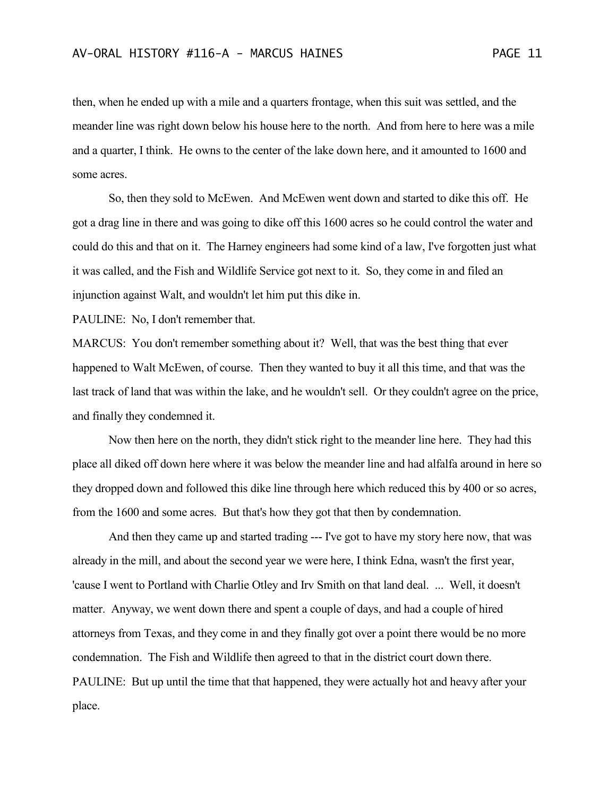then, when he ended up with a mile and a quarters frontage, when this suit was settled, and the meander line was right down below his house here to the north. And from here to here was a mile and a quarter, I think. He owns to the center of the lake down here, and it amounted to 1600 and some acres.

So, then they sold to McEwen. And McEwen went down and started to dike this off. He got a drag line in there and was going to dike off this 1600 acres so he could control the water and could do this and that on it. The Harney engineers had some kind of a law, I've forgotten just what it was called, and the Fish and Wildlife Service got next to it. So, they come in and filed an injunction against Walt, and wouldn't let him put this dike in.

PAULINE: No, I don't remember that.

MARCUS: You don't remember something about it? Well, that was the best thing that ever happened to Walt McEwen, of course. Then they wanted to buy it all this time, and that was the last track of land that was within the lake, and he wouldn't sell. Or they couldn't agree on the price, and finally they condemned it.

Now then here on the north, they didn't stick right to the meander line here. They had this place all diked off down here where it was below the meander line and had alfalfa around in here so they dropped down and followed this dike line through here which reduced this by 400 or so acres, from the 1600 and some acres. But that's how they got that then by condemnation.

And then they came up and started trading --- I've got to have my story here now, that was already in the mill, and about the second year we were here, I think Edna, wasn't the first year, 'cause I went to Portland with Charlie Otley and Irv Smith on that land deal. ... Well, it doesn't matter. Anyway, we went down there and spent a couple of days, and had a couple of hired attorneys from Texas, and they come in and they finally got over a point there would be no more condemnation. The Fish and Wildlife then agreed to that in the district court down there. PAULINE: But up until the time that that happened, they were actually hot and heavy after your place.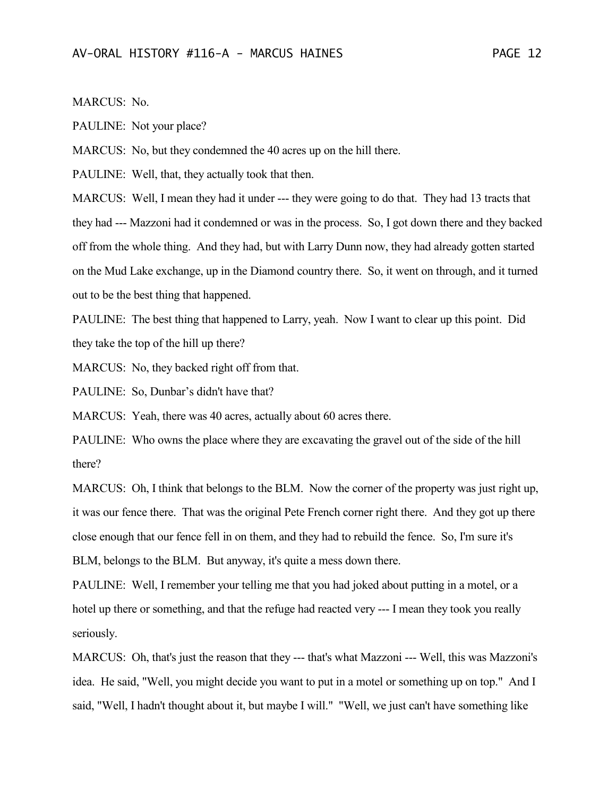MARCUS: No.

PAULINE: Not your place?

MARCUS: No, but they condemned the 40 acres up on the hill there.

PAULINE: Well, that, they actually took that then.

MARCUS: Well, I mean they had it under --- they were going to do that. They had 13 tracts that they had --- Mazzoni had it condemned or was in the process. So, I got down there and they backed off from the whole thing. And they had, but with Larry Dunn now, they had already gotten started on the Mud Lake exchange, up in the Diamond country there. So, it went on through, and it turned out to be the best thing that happened.

PAULINE: The best thing that happened to Larry, yeah. Now I want to clear up this point. Did they take the top of the hill up there?

MARCUS: No, they backed right off from that.

PAULINE: So, Dunbar's didn't have that?

MARCUS: Yeah, there was 40 acres, actually about 60 acres there.

PAULINE: Who owns the place where they are excavating the gravel out of the side of the hill there?

MARCUS: Oh, I think that belongs to the BLM. Now the corner of the property was just right up, it was our fence there. That was the original Pete French corner right there. And they got up there close enough that our fence fell in on them, and they had to rebuild the fence. So, I'm sure it's BLM, belongs to the BLM. But anyway, it's quite a mess down there.

PAULINE: Well, I remember your telling me that you had joked about putting in a motel, or a hotel up there or something, and that the refuge had reacted very --- I mean they took you really seriously.

MARCUS: Oh, that's just the reason that they --- that's what Mazzoni --- Well, this was Mazzoni's idea. He said, "Well, you might decide you want to put in a motel or something up on top." And I said, "Well, I hadn't thought about it, but maybe I will." "Well, we just can't have something like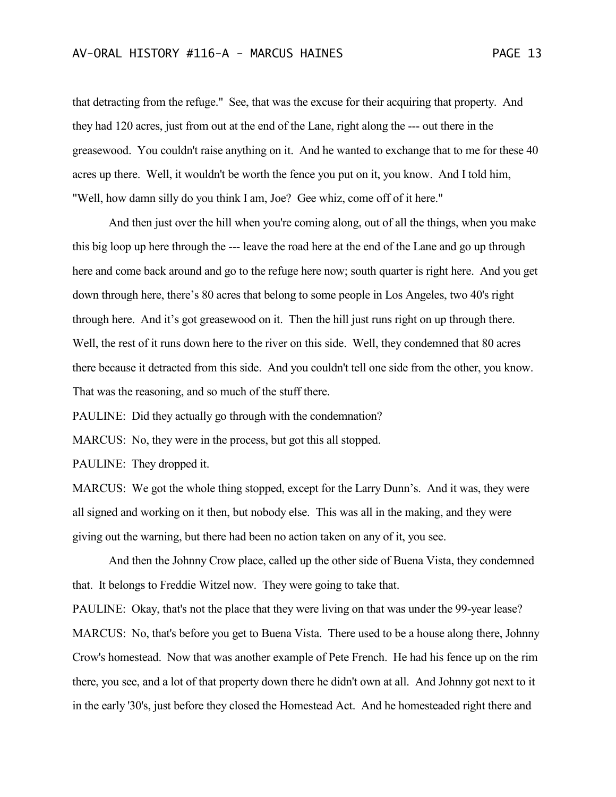that detracting from the refuge." See, that was the excuse for their acquiring that property. And they had 120 acres, just from out at the end of the Lane, right along the --- out there in the greasewood. You couldn't raise anything on it. And he wanted to exchange that to me for these 40 acres up there. Well, it wouldn't be worth the fence you put on it, you know. And I told him, "Well, how damn silly do you think I am, Joe? Gee whiz, come off of it here."

And then just over the hill when you're coming along, out of all the things, when you make this big loop up here through the --- leave the road here at the end of the Lane and go up through here and come back around and go to the refuge here now; south quarter is right here. And you get down through here, there's 80 acres that belong to some people in Los Angeles, two 40's right through here. And it's got greasewood on it. Then the hill just runs right on up through there. Well, the rest of it runs down here to the river on this side. Well, they condemned that 80 acres there because it detracted from this side. And you couldn't tell one side from the other, you know. That was the reasoning, and so much of the stuff there.

PAULINE: Did they actually go through with the condemnation?

MARCUS: No, they were in the process, but got this all stopped.

PAULINE: They dropped it.

MARCUS: We got the whole thing stopped, except for the Larry Dunn's. And it was, they were all signed and working on it then, but nobody else. This was all in the making, and they were giving out the warning, but there had been no action taken on any of it, you see.

And then the Johnny Crow place, called up the other side of Buena Vista, they condemned that. It belongs to Freddie Witzel now. They were going to take that.

PAULINE: Okay, that's not the place that they were living on that was under the 99-year lease? MARCUS: No, that's before you get to Buena Vista. There used to be a house along there, Johnny Crow's homestead. Now that was another example of Pete French. He had his fence up on the rim there, you see, and a lot of that property down there he didn't own at all. And Johnny got next to it in the early '30's, just before they closed the Homestead Act. And he homesteaded right there and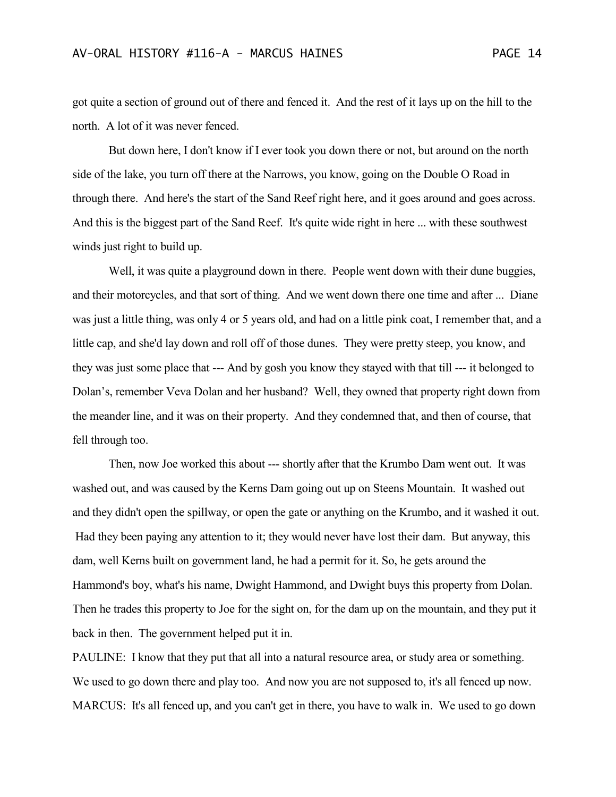got quite a section of ground out of there and fenced it. And the rest of it lays up on the hill to the north. A lot of it was never fenced.

But down here, I don't know if I ever took you down there or not, but around on the north side of the lake, you turn off there at the Narrows, you know, going on the Double O Road in through there. And here's the start of the Sand Reef right here, and it goes around and goes across. And this is the biggest part of the Sand Reef. It's quite wide right in here ... with these southwest winds just right to build up.

Well, it was quite a playground down in there. People went down with their dune buggies, and their motorcycles, and that sort of thing. And we went down there one time and after ... Diane was just a little thing, was only 4 or 5 years old, and had on a little pink coat, I remember that, and a little cap, and she'd lay down and roll off of those dunes. They were pretty steep, you know, and they was just some place that --- And by gosh you know they stayed with that till --- it belonged to Dolan's, remember Veva Dolan and her husband? Well, they owned that property right down from the meander line, and it was on their property. And they condemned that, and then of course, that fell through too.

Then, now Joe worked this about --- shortly after that the Krumbo Dam went out. It was washed out, and was caused by the Kerns Dam going out up on Steens Mountain. It washed out and they didn't open the spillway, or open the gate or anything on the Krumbo, and it washed it out. Had they been paying any attention to it; they would never have lost their dam. But anyway, this dam, well Kerns built on government land, he had a permit for it. So, he gets around the Hammond's boy, what's his name, Dwight Hammond, and Dwight buys this property from Dolan. Then he trades this property to Joe for the sight on, for the dam up on the mountain, and they put it back in then. The government helped put it in.

PAULINE: I know that they put that all into a natural resource area, or study area or something. We used to go down there and play too. And now you are not supposed to, it's all fenced up now. MARCUS: It's all fenced up, and you can't get in there, you have to walk in. We used to go down